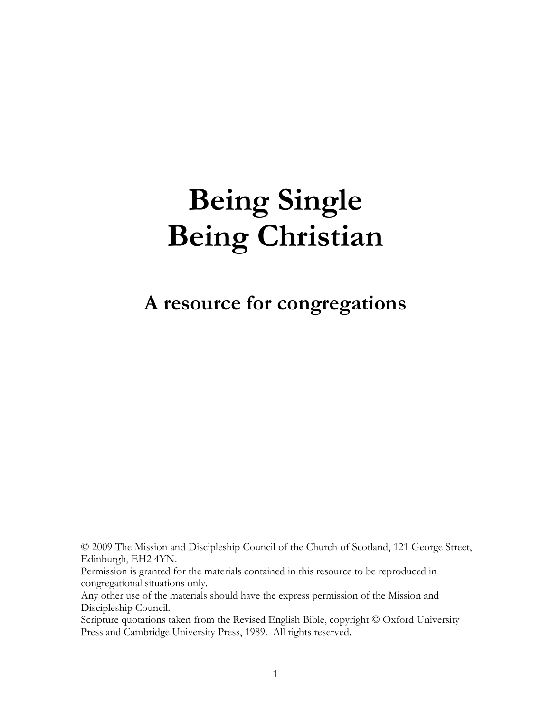# **Being Single Being Christian**

# **A resource for congregations**

© 2009 The Mission and Discipleship Council of the Church of Scotland, 121 George Street, Edinburgh, EH2 4YN.

Permission is granted for the materials contained in this resource to be reproduced in congregational situations only.

Any other use of the materials should have the express permission of the Mission and Discipleship Council.

Scripture quotations taken from the Revised English Bible, copyright © Oxford University Press and Cambridge University Press, 1989. All rights reserved.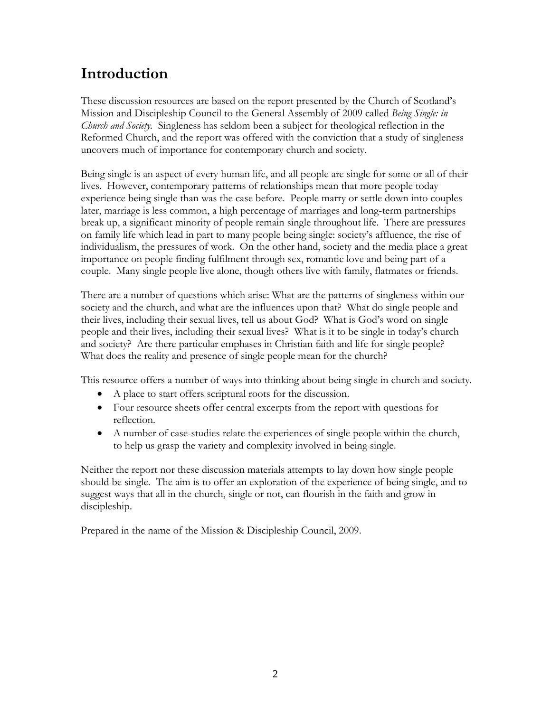# **Introduction**

These discussion resources are based on the report presented by the Church of Scotland's Mission and Discipleship Council to the General Assembly of 2009 called *Being Single: in Church and Society.* Singleness has seldom been a subject for theological reflection in the Reformed Church, and the report was offered with the conviction that a study of singleness uncovers much of importance for contemporary church and society.

Being single is an aspect of every human life, and all people are single for some or all of their lives.However, contemporary patterns of relationships mean that more people today experience being single than was the case before. People marry or settle down into couples later, marriage is less common, a high percentage of marriages and long-term partnerships break up, a significant minority of people remain single throughout life. There are pressures on family life which lead in part to many people being single: society's affluence, the rise of individualism, the pressures of work. On the other hand, society and the media place a great importance on people finding fulfilment through sex, romantic love and being part of a couple. Many single people live alone, though others live with family, flatmates or friends.

There are a number of questions which arise: What are the patterns of singleness within our society and the church, and what are the influences upon that? What do single people and their lives, including their sexual lives, tell us about God? What is God's word on single people and their lives, including their sexual lives? What is it to be single in today's church and society? Are there particular emphases in Christian faith and life for single people? What does the reality and presence of single people mean for the church?

This resource offers a number of ways into thinking about being single in church and society.

- A place to start offers scriptural roots for the discussion.
- Four resource sheets offer central excerpts from the report with questions for reflection.
- A number of case-studies relate the experiences of single people within the church, to help us grasp the variety and complexity involved in being single.

Neither the report nor these discussion materials attempts to lay down how single people should be single. The aim is to offer an exploration of the experience of being single, and to suggest ways that all in the church, single or not, can flourish in the faith and grow in discipleship.

Prepared in the name of the Mission & Discipleship Council, 2009.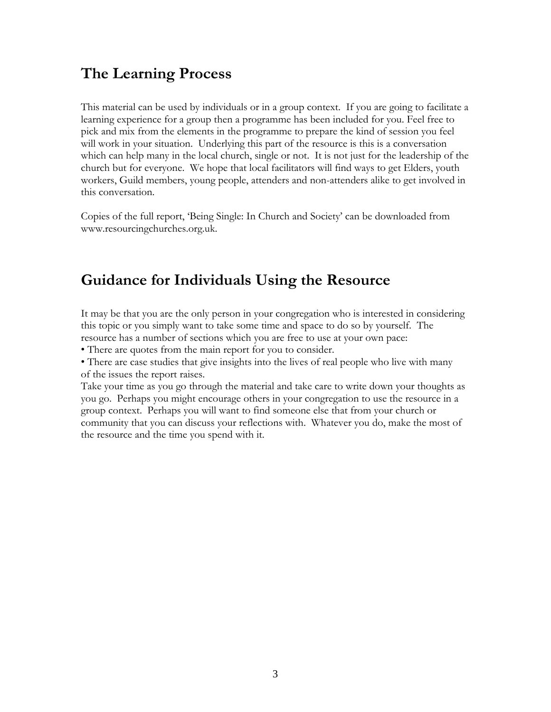# **The Learning Process**

This material can be used by individuals or in a group context. If you are going to facilitate a learning experience for a group then a programme has been included for you. Feel free to pick and mix from the elements in the programme to prepare the kind of session you feel will work in your situation. Underlying this part of the resource is this is a conversation which can help many in the local church, single or not. It is not just for the leadership of the church but for everyone. We hope that local facilitators will find ways to get Elders, youth workers, Guild members, young people, attenders and non-attenders alike to get involved in this conversation.

Copies of the full report, 'Being Single: In Church and Society' can be downloaded from www.resourcingchurches.org.uk.

### **Guidance for Individuals Using the Resource**

It may be that you are the only person in your congregation who is interested in considering this topic or you simply want to take some time and space to do so by yourself. The resource has a number of sections which you are free to use at your own pace:

• There are quotes from the main report for you to consider.

• There are case studies that give insights into the lives of real people who live with many of the issues the report raises.

Take your time as you go through the material and take care to write down your thoughts as you go. Perhaps you might encourage others in your congregation to use the resource in a group context. Perhaps you will want to find someone else that from your church or community that you can discuss your reflections with. Whatever you do, make the most of the resource and the time you spend with it.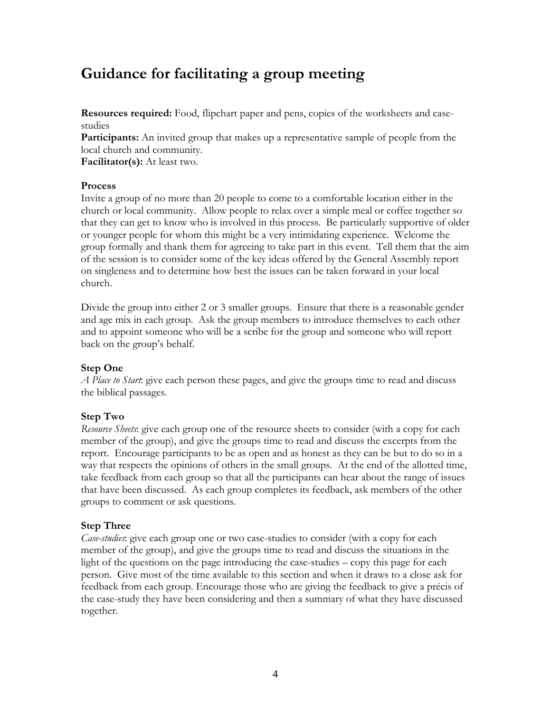### **Guidance for facilitating a group meeting**

**Resources required:** Food, flipchart paper and pens, copies of the worksheets and casestudies

**Participants:** An invited group that makes up a representative sample of people from the local church and community.

**Facilitator(s):** At least two.

#### **Process**

Invite a group of no more than 20 people to come to a comfortable location either in the church or local community. Allow people to relax over a simple meal or coffee together so that they can get to know who is involved in this process. Be particularly supportive of older or younger people for whom this might be a very intimidating experience. Welcome the group formally and thank them for agreeing to take part in this event. Tell them that the aim of the session is to consider some of the key ideas offered by the General Assembly report on singleness and to determine how best the issues can be taken forward in your local church.

Divide the group into either 2 or 3 smaller groups. Ensure that there is a reasonable gender and age mix in each group. Ask the group members to introduce themselves to each other and to appoint someone who will be a scribe for the group and someone who will report back on the group's behalf.

#### **Step One**

*A Place to Start*: give each person these pages, and give the groups time to read and discuss the biblical passages.

#### **Step Two**

*Resource Sheets*: give each group one of the resource sheets to consider (with a copy for each member of the group), and give the groups time to read and discuss the excerpts from the report. Encourage participants to be as open and as honest as they can be but to do so in a way that respects the opinions of others in the small groups. At the end of the allotted time, take feedback from each group so that all the participants can hear about the range of issues that have been discussed. As each group completes its feedback, ask members of the other groups to comment or ask questions.

#### **Step Three**

*Case-studies*: give each group one or two case-studies to consider (with a copy for each member of the group), and give the groups time to read and discuss the situations in the light of the questions on the page introducing the case-studies – copy this page for each person. Give most of the time available to this section and when it draws to a close ask for feedback from each group. Encourage those who are giving the feedback to give a précis of the case-study they have been considering and then a summary of what they have discussed together.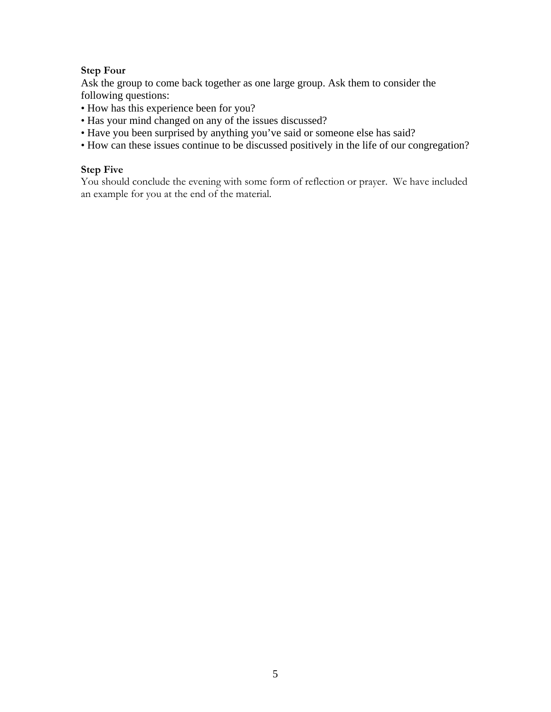### **Step Four**

Ask the group to come back together as one large group. Ask them to consider the following questions:

- How has this experience been for you?
- Has your mind changed on any of the issues discussed?
- Have you been surprised by anything you've said or someone else has said?
- How can these issues continue to be discussed positively in the life of our congregation?

### **Step Five**

You should conclude the evening with some form of reflection or prayer. We have included an example for you at the end of the material.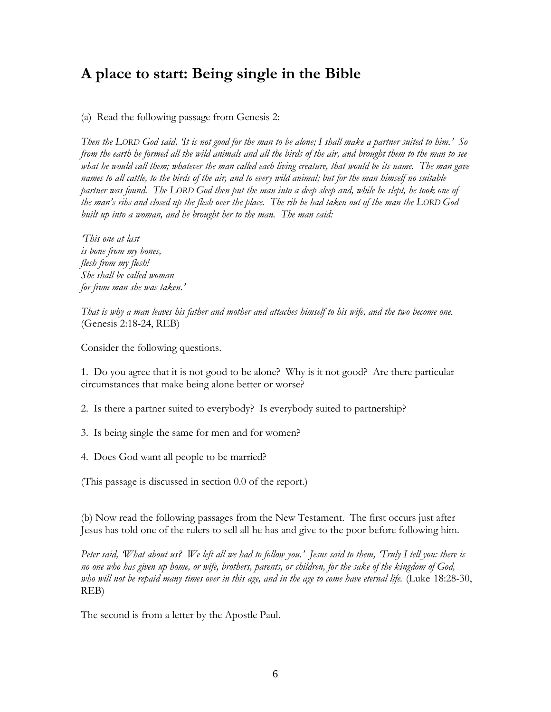### **A place to start: Being single in the Bible**

(a) Read the following passage from Genesis 2:

*Then the LORD God said, 'It is not good for the man to be alone; I shall make a partner suited to him.' So from the earth he formed all the wild animals and all the birds of the air, and brought them to the man to see*  what he would call them; whatever the man called each living creature, that would be its name. The man gave *names to all cattle, to the birds of the air, and to every wild animal; but for the man himself no suitable partner was found. The LORD God then put the man into a deep sleep and, while he slept, he took one of the man's ribs and closed up the flesh over the place. The rib he had taken out of the man the LORD God built up into a woman, and he brought her to the man. The man said:* 

*'This one at last is bone from my bones, flesh from my flesh! She shall be called woman for from man she was taken.'* 

*That is why a man leaves his father and mother and attaches himself to his wife, and the two become one.* (Genesis 2:18-24, REB)

Consider the following questions.

1. Do you agree that it is not good to be alone? Why is it not good? Are there particular circumstances that make being alone better or worse?

2. Is there a partner suited to everybody? Is everybody suited to partnership?

3. Is being single the same for men and for women?

4. Does God want all people to be married?

(This passage is discussed in section 0.0 of the report.)

(b) Now read the following passages from the New Testament. The first occurs just after Jesus has told one of the rulers to sell all he has and give to the poor before following him.

*Peter said, 'What about us? We left all we had to follow you.' Jesus said to them, 'Truly I tell you: there is no one who has given up home, or wife, brothers, parents, or children, for the sake of the kingdom of God, who will not be repaid many times over in this age, and in the age to come have eternal life.* (Luke 18:28-30, REB)

The second is from a letter by the Apostle Paul.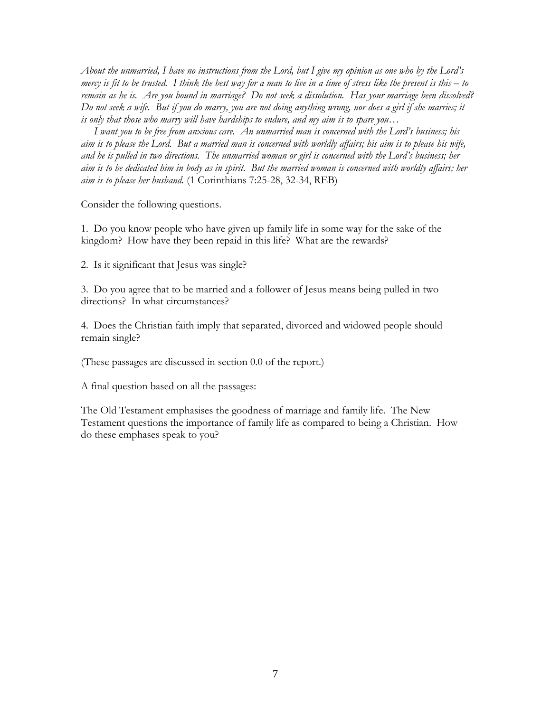*About the unmarried, I have no instructions from the Lord, but I give my opinion as one who by the Lord's mercy is fit to be trusted. I think the best way for a man to live in a time of stress like the present is this – to remain as he is. Are you bound in marriage? Do not seek a dissolution. Has your marriage been dissolved? Do not seek a wife. But if you do marry, you are not doing anything wrong, nor does a girl if she marries; it is only that those who marry will have hardships to endure, and my aim is to spare you…* 

*I want you to be free from anxious care. An unmarried man is concerned with the Lord's business; his aim is to please the Lord. But a married man is concerned with worldly affairs; his aim is to please his wife, and he is pulled in two directions. The unmarried woman or girl is concerned with the Lord's business; her aim is to be dedicated him in body as in spirit. But the married woman is concerned with worldly affairs; her aim is to please her husband.* (1 Corinthians 7:25-28, 32-34, REB)

Consider the following questions.

1. Do you know people who have given up family life in some way for the sake of the kingdom? How have they been repaid in this life? What are the rewards?

2. Is it significant that Jesus was single?

3. Do you agree that to be married and a follower of Jesus means being pulled in two directions? In what circumstances?

4. Does the Christian faith imply that separated, divorced and widowed people should remain single?

(These passages are discussed in section 0.0 of the report.)

A final question based on all the passages:

The Old Testament emphasises the goodness of marriage and family life. The New Testament questions the importance of family life as compared to being a Christian. How do these emphases speak to you?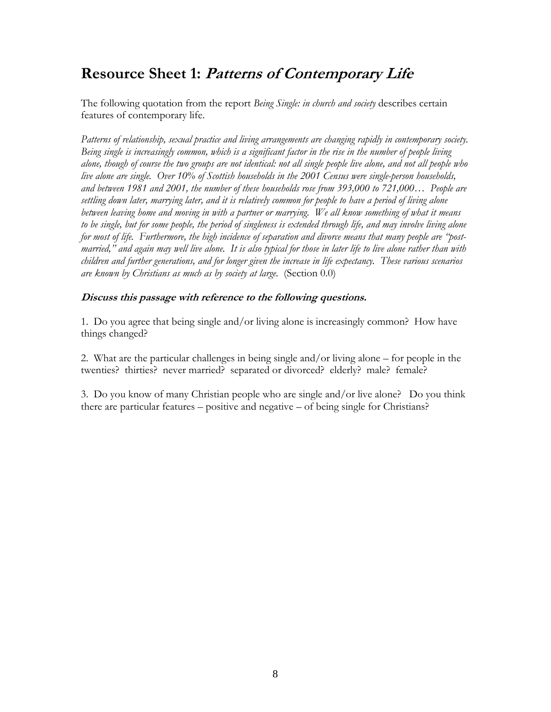# **Resource Sheet 1: Patterns of Contemporary Life**

The following quotation from the report *Being Single: in church and society* describes certain features of contemporary life.

*Patterns of relationship, sexual practice and living arrangements are changing rapidly in contemporary society. Being single is increasingly common, which is a significant factor in the rise in the number of people living alone, though of course the two groups are not identical: not all single people live alone, and not all people who live alone are single. Over 10% of Scottish households in the 2001 Census were single-person households, and between 1981 and 2001, the number of these households rose from 393,000 to 721,000… People are settling down later, marrying later, and it is relatively common for people to have a period of living alone between leaving home and moving in with a partner or marrying. We all know something of what it means*  to be single, but for some people, the period of singleness is extended through life, and may involve living alone *for most of life. Furthermore, the high incidence of separation and divorce means that many people are "postmarried," and again may well live alone. It is also typical for those in later life to live alone rather than with children and further generations, and for longer given the increase in life expectancy. These various scenarios are known by Christians as much as by society at large.* (Section 0.0)

### **Discuss this passage with reference to the following questions.**

1. Do you agree that being single and/or living alone is increasingly common? How have things changed?

2. What are the particular challenges in being single and/or living alone – for people in the twenties? thirties? never married? separated or divorced? elderly? male? female?

3. Do you know of many Christian people who are single and/or live alone? Do you think there are particular features – positive and negative – of being single for Christians?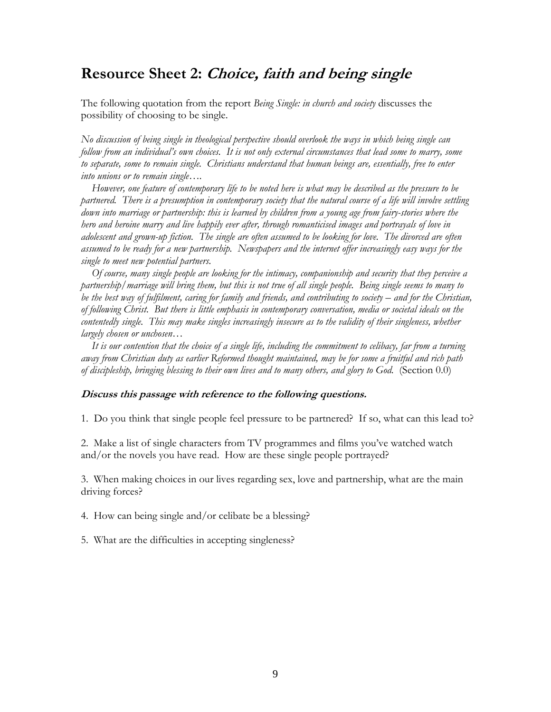### **Resource Sheet 2: Choice, faith and being single**

The following quotation from the report *Being Single: in church and society* discusses the possibility of choosing to be single.

*No discussion of being single in theological perspective should overlook the ways in which being single can follow from an individual's own choices. It is not only external circumstances that lead some to marry, some to separate, some to remain single. Christians understand that human beings are, essentially, free to enter into unions or to remain single….* 

 *However, one feature of contemporary life to be noted here is what may be described as the pressure to be partnered. There is a presumption in contemporary society that the natural course of a life will involve settling down into marriage or partnership: this is learned by children from a young age from fairy-stories where the hero and heroine marry and live happily ever after, through romanticised images and portrayals of love in adolescent and grown-up fiction. The single are often assumed to be looking for love. The divorced are often assumed to be ready for a new partnership. Newspapers and the internet offer increasingly easy ways for the single to meet new potential partners.* 

 *Of course, many single people are looking for the intimacy, companionship and security that they perceive a partnership/marriage will bring them, but this is not true of all single people. Being single seems to many to be the best way of fulfilment, caring for family and friends, and contributing to society – and for the Christian, of following Christ. But there is little emphasis in contemporary conversation, media or societal ideals on the*  contentedly single. This may make singles increasingly insecure as to the validity of their singleness, whether *largely chosen or unchosen…* 

 *It is our contention that the choice of a single life, including the commitment to celibacy, far from a turning away from Christian duty as earlier Reformed thought maintained, may be for some a fruitful and rich path of discipleship, bringing blessing to their own lives and to many others, and glory to God.* (Section 0.0)

#### **Discuss this passage with reference to the following questions.**

1. Do you think that single people feel pressure to be partnered? If so, what can this lead to?

2. Make a list of single characters from TV programmes and films you've watched watch and/or the novels you have read. How are these single people portrayed?

3. When making choices in our lives regarding sex, love and partnership, what are the main driving forces?

4. How can being single and/or celibate be a blessing?

5. What are the difficulties in accepting singleness?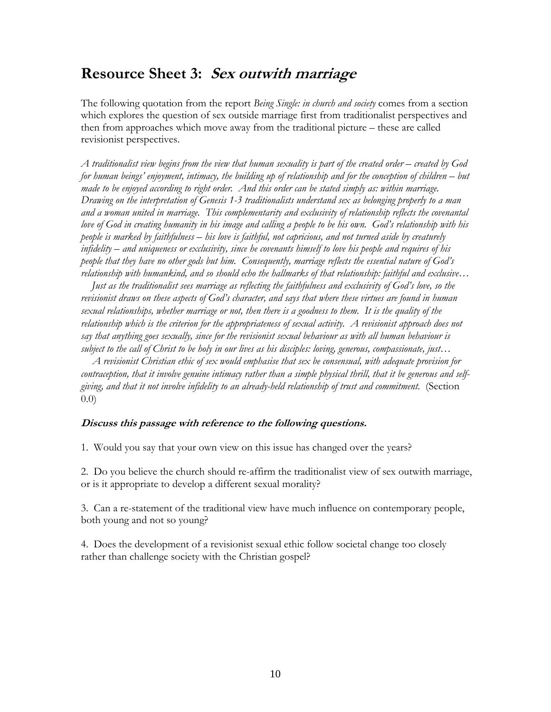### **Resource Sheet 3: Sex outwith marriage**

The following quotation from the report *Being Single: in church and society* comes from a section which explores the question of sex outside marriage first from traditionalist perspectives and then from approaches which move away from the traditional picture – these are called revisionist perspectives.

*A traditionalist view begins from the view that human sexuality is part of the created order – created by God for human beings' enjoyment, intimacy, the building up of relationship and for the conception of children – but made to be enjoyed according to right order. And this order can be stated simply as: within marriage. Drawing on the interpretation of Genesis 1-3 traditionalists understand sex as belonging properly to a man and a woman united in marriage. This complementarity and exclusivity of relationship reflects the covenantal love of God in creating humanity in his image and calling a people to be his own. God's relationship with his people is marked by faithfulness – his love is faithful, not capricious, and not turned aside by creaturely infidelity – and uniqueness or exclusivity, since he covenants himself to love his people and requires of his people that they have no other gods but him. Consequently, marriage reflects the essential nature of God's relationship with humankind, and so should echo the hallmarks of that relationship: faithful and exclusive…* 

 *Just as the traditionalist sees marriage as reflecting the faithfulness and exclusivity of God's love, so the revisionist draws on these aspects of God's character, and says that where these virtues are found in human sexual relationships, whether marriage or not, then there is a goodness to them. It is the quality of the relationship which is the criterion for the appropriateness of sexual activity. A revisionist approach does not say that anything goes sexually, since for the revisionist sexual behaviour as with all human behaviour is subject to the call of Christ to be holy in our lives as his disciples: loving, generous, compassionate, just…* 

*A revisionist Christian ethic of sex would emphasise that sex be consensual, with adequate provision for contraception, that it involve genuine intimacy rather than a simple physical thrill, that it be generous and selfgiving, and that it not involve infidelity to an already-held relationship of trust and commitment.* (Section 0.0)

#### **Discuss this passage with reference to the following questions.**

1. Would you say that your own view on this issue has changed over the years?

2. Do you believe the church should re-affirm the traditionalist view of sex outwith marriage, or is it appropriate to develop a different sexual morality?

3. Can a re-statement of the traditional view have much influence on contemporary people, both young and not so young?

4. Does the development of a revisionist sexual ethic follow societal change too closely rather than challenge society with the Christian gospel?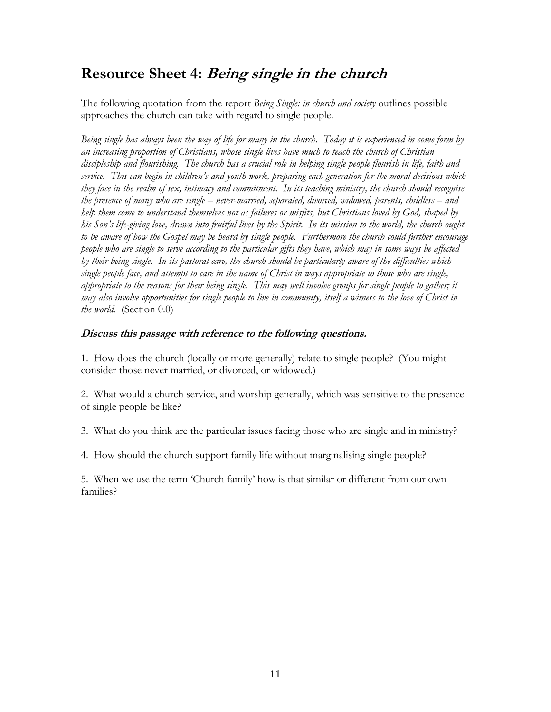## **Resource Sheet 4: Being single in the church**

The following quotation from the report *Being Single: in church and society* outlines possible approaches the church can take with regard to single people.

*Being single has always been the way of life for many in the church. Today it is experienced in some form by an increasing proportion of Christians, whose single lives have much to teach the church of Christian discipleship and flourishing. The church has a crucial role in helping single people flourish in life, faith and service. This can begin in children's and youth work, preparing each generation for the moral decisions which they face in the realm of sex, intimacy and commitment. In its teaching ministry, the church should recognise the presence of many who are single – never-married, separated, divorced, widowed, parents, childless – and help them come to understand themselves not as failures or misfits, but Christians loved by God, shaped by his Son's life-giving love, drawn into fruitful lives by the Spirit. In its mission to the world, the church ought to be aware of how the Gospel may be heard by single people. Furthermore the church could further encourage people who are single to serve according to the particular gifts they have, which may in some ways be affected by their being single. In its pastoral care, the church should be particularly aware of the difficulties which single people face, and attempt to care in the name of Christ in ways appropriate to those who are single, appropriate to the reasons for their being single. This may well involve groups for single people to gather; it may also involve opportunities for single people to live in community, itself a witness to the love of Christ in the world.* (Section 0.0)

### **Discuss this passage with reference to the following questions.**

1. How does the church (locally or more generally) relate to single people? (You might consider those never married, or divorced, or widowed.)

2. What would a church service, and worship generally, which was sensitive to the presence of single people be like?

3. What do you think are the particular issues facing those who are single and in ministry?

4. How should the church support family life without marginalising single people?

5. When we use the term 'Church family' how is that similar or different from our own families?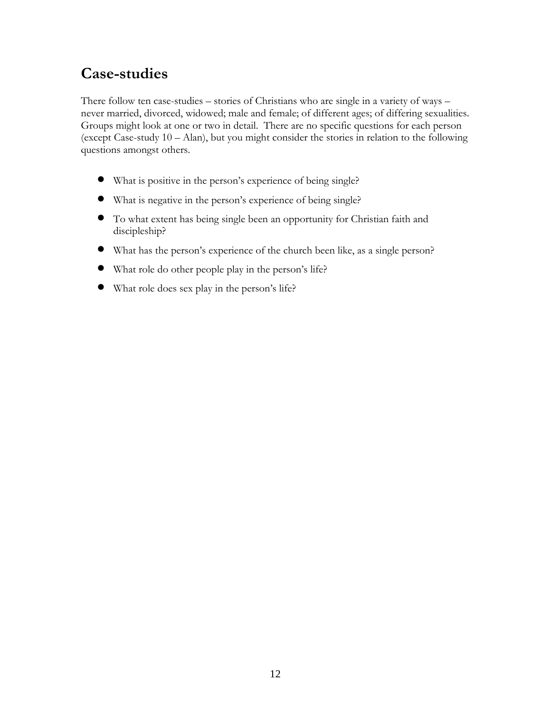# **Case-studies**

There follow ten case-studies – stories of Christians who are single in a variety of ways – never married, divorced, widowed; male and female; of different ages; of differing sexualities. Groups might look at one or two in detail. There are no specific questions for each person (except Case-study 10 – Alan), but you might consider the stories in relation to the following questions amongst others.

- What is positive in the person's experience of being single?
- What is negative in the person's experience of being single?
- To what extent has being single been an opportunity for Christian faith and discipleship?
- What has the person's experience of the church been like, as a single person?
- What role do other people play in the person's life?
- What role does sex play in the person's life?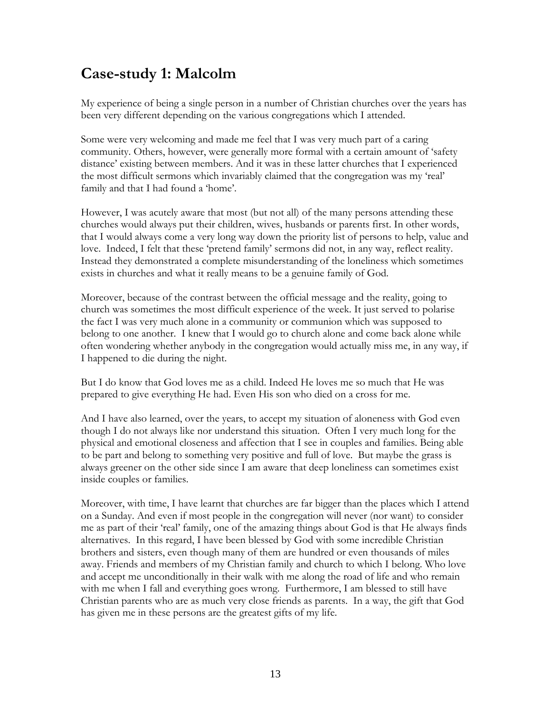### **Case-study 1: Malcolm**

My experience of being a single person in a number of Christian churches over the years has been very different depending on the various congregations which I attended.

Some were very welcoming and made me feel that I was very much part of a caring community. Others, however, were generally more formal with a certain amount of 'safety distance' existing between members. And it was in these latter churches that I experienced the most difficult sermons which invariably claimed that the congregation was my 'real' family and that I had found a 'home'.

However, I was acutely aware that most (but not all) of the many persons attending these churches would always put their children, wives, husbands or parents first. In other words, that I would always come a very long way down the priority list of persons to help, value and love. Indeed, I felt that these 'pretend family' sermons did not, in any way, reflect reality. Instead they demonstrated a complete misunderstanding of the loneliness which sometimes exists in churches and what it really means to be a genuine family of God.

Moreover, because of the contrast between the official message and the reality, going to church was sometimes the most difficult experience of the week. It just served to polarise the fact I was very much alone in a community or communion which was supposed to belong to one another. I knew that I would go to church alone and come back alone while often wondering whether anybody in the congregation would actually miss me, in any way, if I happened to die during the night.

But I do know that God loves me as a child. Indeed He loves me so much that He was prepared to give everything He had. Even His son who died on a cross for me.

And I have also learned, over the years, to accept my situation of aloneness with God even though I do not always like nor understand this situation. Often I very much long for the physical and emotional closeness and affection that I see in couples and families. Being able to be part and belong to something very positive and full of love. But maybe the grass is always greener on the other side since I am aware that deep loneliness can sometimes exist inside couples or families.

Moreover, with time, I have learnt that churches are far bigger than the places which I attend on a Sunday. And even if most people in the congregation will never (nor want) to consider me as part of their 'real' family, one of the amazing things about God is that He always finds alternatives. In this regard, I have been blessed by God with some incredible Christian brothers and sisters, even though many of them are hundred or even thousands of miles away. Friends and members of my Christian family and church to which I belong. Who love and accept me unconditionally in their walk with me along the road of life and who remain with me when I fall and everything goes wrong. Furthermore, I am blessed to still have Christian parents who are as much very close friends as parents. In a way, the gift that God has given me in these persons are the greatest gifts of my life.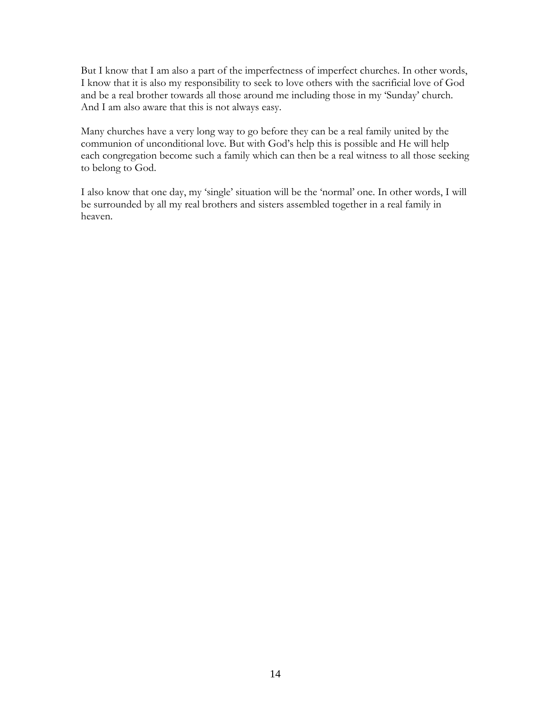But I know that I am also a part of the imperfectness of imperfect churches. In other words, I know that it is also my responsibility to seek to love others with the sacrificial love of God and be a real brother towards all those around me including those in my 'Sunday' church. And I am also aware that this is not always easy.

Many churches have a very long way to go before they can be a real family united by the communion of unconditional love. But with God's help this is possible and He will help each congregation become such a family which can then be a real witness to all those seeking to belong to God.

I also know that one day, my 'single' situation will be the 'normal' one. In other words, I will be surrounded by all my real brothers and sisters assembled together in a real family in heaven.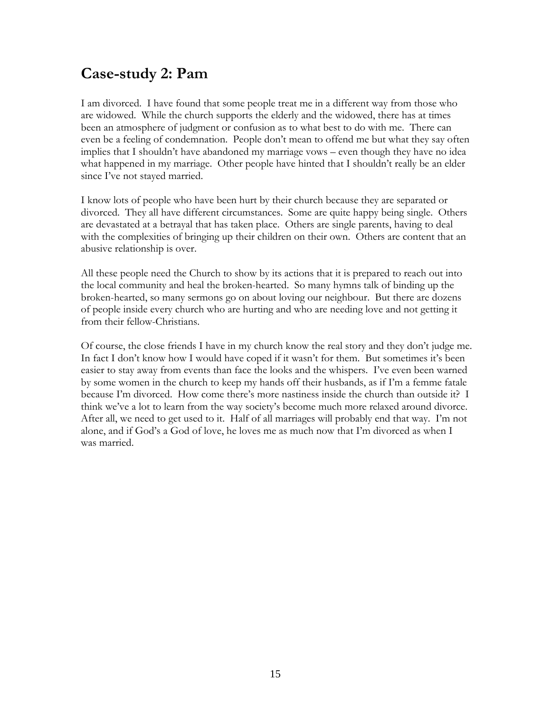### **Case-study 2: Pam**

I am divorced. I have found that some people treat me in a different way from those who are widowed. While the church supports the elderly and the widowed, there has at times been an atmosphere of judgment or confusion as to what best to do with me. There can even be a feeling of condemnation. People don't mean to offend me but what they say often implies that I shouldn't have abandoned my marriage vows – even though they have no idea what happened in my marriage. Other people have hinted that I shouldn't really be an elder since I've not stayed married.

I know lots of people who have been hurt by their church because they are separated or divorced. They all have different circumstances. Some are quite happy being single. Others are devastated at a betrayal that has taken place. Others are single parents, having to deal with the complexities of bringing up their children on their own. Others are content that an abusive relationship is over.

All these people need the Church to show by its actions that it is prepared to reach out into the local community and heal the broken-hearted. So many hymns talk of binding up the broken-hearted, so many sermons go on about loving our neighbour. But there are dozens of people inside every church who are hurting and who are needing love and not getting it from their fellow-Christians.

Of course, the close friends I have in my church know the real story and they don't judge me. In fact I don't know how I would have coped if it wasn't for them. But sometimes it's been easier to stay away from events than face the looks and the whispers. I've even been warned by some women in the church to keep my hands off their husbands, as if I'm a femme fatale because I'm divorced. How come there's more nastiness inside the church than outside it? I think we've a lot to learn from the way society's become much more relaxed around divorce. After all, we need to get used to it. Half of all marriages will probably end that way. I'm not alone, and if God's a God of love, he loves me as much now that I'm divorced as when I was married.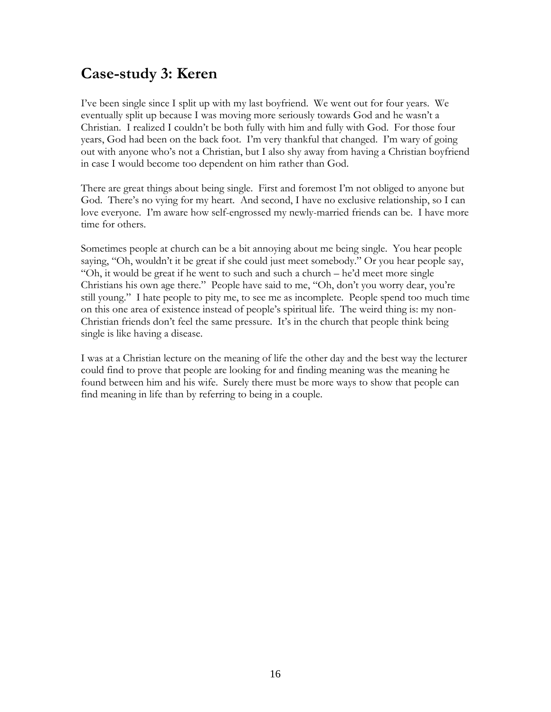### **Case-study 3: Keren**

I've been single since I split up with my last boyfriend. We went out for four years. We eventually split up because I was moving more seriously towards God and he wasn't a Christian. I realized I couldn't be both fully with him and fully with God. For those four years, God had been on the back foot. I'm very thankful that changed. I'm wary of going out with anyone who's not a Christian, but I also shy away from having a Christian boyfriend in case I would become too dependent on him rather than God.

There are great things about being single. First and foremost I'm not obliged to anyone but God. There's no vying for my heart. And second, I have no exclusive relationship, so I can love everyone. I'm aware how self-engrossed my newly-married friends can be. I have more time for others.

Sometimes people at church can be a bit annoying about me being single. You hear people saying, "Oh, wouldn't it be great if she could just meet somebody." Or you hear people say, "Oh, it would be great if he went to such and such a church – he'd meet more single Christians his own age there." People have said to me, "Oh, don't you worry dear, you're still young." I hate people to pity me, to see me as incomplete. People spend too much time on this one area of existence instead of people's spiritual life. The weird thing is: my non-Christian friends don't feel the same pressure. It's in the church that people think being single is like having a disease.

I was at a Christian lecture on the meaning of life the other day and the best way the lecturer could find to prove that people are looking for and finding meaning was the meaning he found between him and his wife. Surely there must be more ways to show that people can find meaning in life than by referring to being in a couple.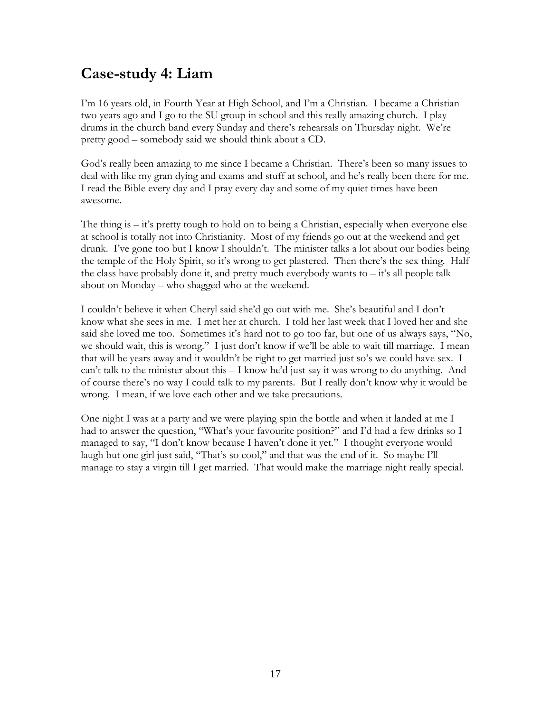## **Case-study 4: Liam**

I'm 16 years old, in Fourth Year at High School, and I'm a Christian. I became a Christian two years ago and I go to the SU group in school and this really amazing church. I play drums in the church band every Sunday and there's rehearsals on Thursday night. We're pretty good – somebody said we should think about a CD.

God's really been amazing to me since I became a Christian. There's been so many issues to deal with like my gran dying and exams and stuff at school, and he's really been there for me. I read the Bible every day and I pray every day and some of my quiet times have been awesome.

The thing is – it's pretty tough to hold on to being a Christian, especially when everyone else at school is totally not into Christianity. Most of my friends go out at the weekend and get drunk. I've gone too but I know I shouldn't. The minister talks a lot about our bodies being the temple of the Holy Spirit, so it's wrong to get plastered. Then there's the sex thing. Half the class have probably done it, and pretty much everybody wants to  $-$  it's all people talk about on Monday – who shagged who at the weekend.

I couldn't believe it when Cheryl said she'd go out with me. She's beautiful and I don't know what she sees in me. I met her at church. I told her last week that I loved her and she said she loved me too. Sometimes it's hard not to go too far, but one of us always says, "No, we should wait, this is wrong." I just don't know if we'll be able to wait till marriage. I mean that will be years away and it wouldn't be right to get married just so's we could have sex. I can't talk to the minister about this – I know he'd just say it was wrong to do anything. And of course there's no way I could talk to my parents. But I really don't know why it would be wrong. I mean, if we love each other and we take precautions.

One night I was at a party and we were playing spin the bottle and when it landed at me I had to answer the question, "What's your favourite position?" and I'd had a few drinks so I managed to say, "I don't know because I haven't done it yet." I thought everyone would laugh but one girl just said, "That's so cool," and that was the end of it. So maybe I'll manage to stay a virgin till I get married. That would make the marriage night really special.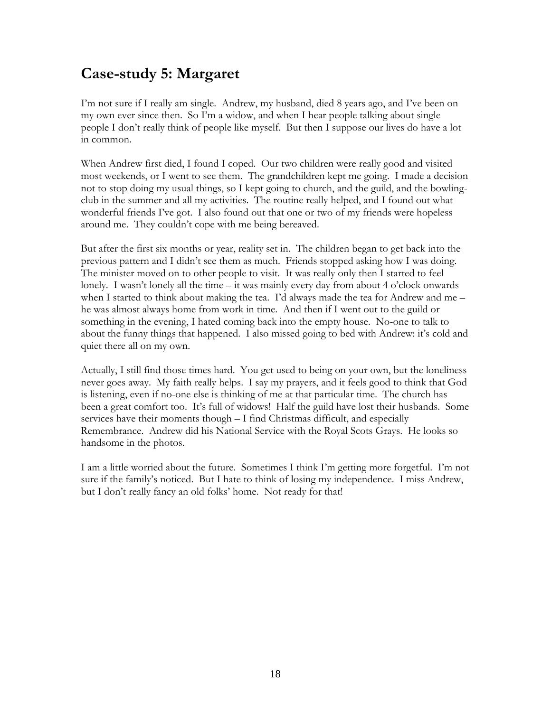# **Case-study 5: Margaret**

I'm not sure if I really am single. Andrew, my husband, died 8 years ago, and I've been on my own ever since then. So I'm a widow, and when I hear people talking about single people I don't really think of people like myself. But then I suppose our lives do have a lot in common.

When Andrew first died, I found I coped. Our two children were really good and visited most weekends, or I went to see them. The grandchildren kept me going. I made a decision not to stop doing my usual things, so I kept going to church, and the guild, and the bowlingclub in the summer and all my activities. The routine really helped, and I found out what wonderful friends I've got. I also found out that one or two of my friends were hopeless around me. They couldn't cope with me being bereaved.

But after the first six months or year, reality set in. The children began to get back into the previous pattern and I didn't see them as much. Friends stopped asking how I was doing. The minister moved on to other people to visit. It was really only then I started to feel lonely. I wasn't lonely all the time – it was mainly every day from about 4 o'clock onwards when I started to think about making the tea. I'd always made the tea for Andrew and me – he was almost always home from work in time. And then if I went out to the guild or something in the evening, I hated coming back into the empty house. No-one to talk to about the funny things that happened. I also missed going to bed with Andrew: it's cold and quiet there all on my own.

Actually, I still find those times hard. You get used to being on your own, but the loneliness never goes away. My faith really helps. I say my prayers, and it feels good to think that God is listening, even if no-one else is thinking of me at that particular time. The church has been a great comfort too. It's full of widows! Half the guild have lost their husbands. Some services have their moments though – I find Christmas difficult, and especially Remembrance. Andrew did his National Service with the Royal Scots Grays. He looks so handsome in the photos.

I am a little worried about the future. Sometimes I think I'm getting more forgetful. I'm not sure if the family's noticed. But I hate to think of losing my independence. I miss Andrew, but I don't really fancy an old folks' home. Not ready for that!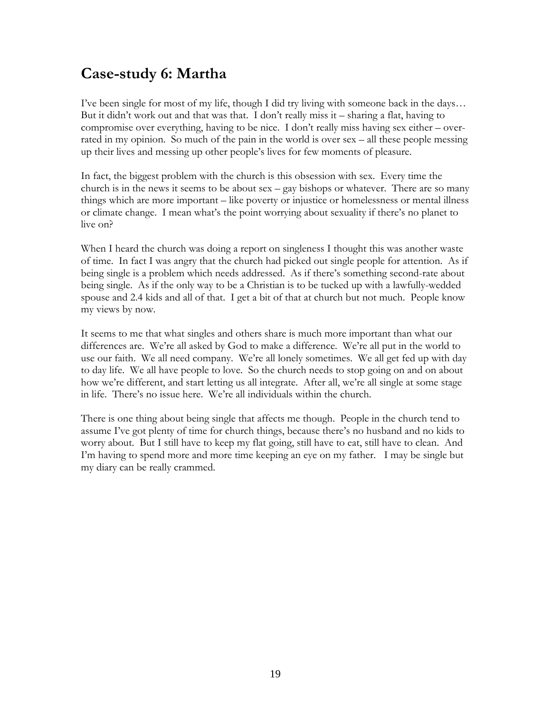### **Case-study 6: Martha**

I've been single for most of my life, though I did try living with someone back in the days… But it didn't work out and that was that. I don't really miss it – sharing a flat, having to compromise over everything, having to be nice. I don't really miss having sex either – overrated in my opinion. So much of the pain in the world is over sex – all these people messing up their lives and messing up other people's lives for few moments of pleasure.

In fact, the biggest problem with the church is this obsession with sex. Every time the church is in the news it seems to be about sex – gay bishops or whatever. There are so many things which are more important – like poverty or injustice or homelessness or mental illness or climate change. I mean what's the point worrying about sexuality if there's no planet to live on?

When I heard the church was doing a report on singleness I thought this was another waste of time. In fact I was angry that the church had picked out single people for attention. As if being single is a problem which needs addressed. As if there's something second-rate about being single. As if the only way to be a Christian is to be tucked up with a lawfully-wedded spouse and 2.4 kids and all of that. I get a bit of that at church but not much. People know my views by now.

It seems to me that what singles and others share is much more important than what our differences are. We're all asked by God to make a difference. We're all put in the world to use our faith. We all need company. We're all lonely sometimes. We all get fed up with day to day life. We all have people to love. So the church needs to stop going on and on about how we're different, and start letting us all integrate. After all, we're all single at some stage in life. There's no issue here. We're all individuals within the church.

There is one thing about being single that affects me though. People in the church tend to assume I've got plenty of time for church things, because there's no husband and no kids to worry about. But I still have to keep my flat going, still have to eat, still have to clean. And I'm having to spend more and more time keeping an eye on my father. I may be single but my diary can be really crammed.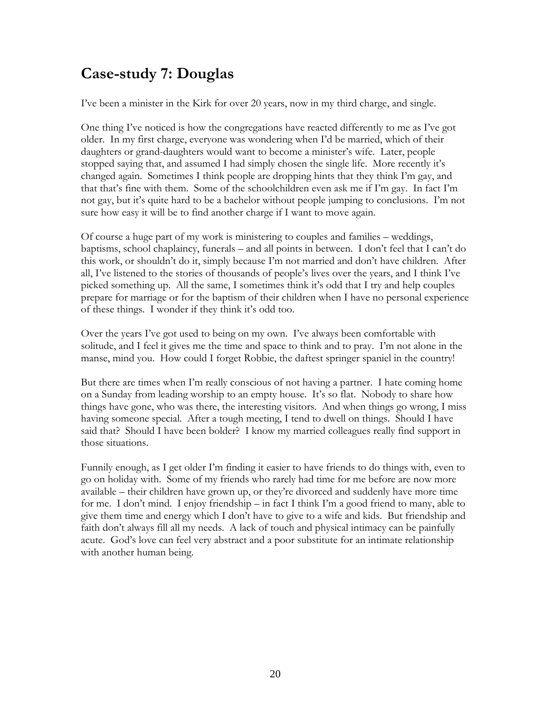# **Case-study 7: Douglas**

I've been a minister in the Kirk for over 20 years, now in my third charge, and single.

One thing I've noticed is how the congregations have reacted differently to me as I've got older. In my first charge, everyone was wondering when I'd be married, which of their daughters or grand-daughters would want to become a minister's wife. Later, people stopped saying that, and assumed I had simply chosen the single life. More recently it's changed again. Sometimes I think people are dropping hints that they think I'm gay, and that that's fine with them. Some of the schoolchildren even ask me if I'm gay. In fact I'm not gay, but it's quite hard to be a bachelor without people jumping to conclusions. I'm not sure how easy it will be to find another charge if I want to move again.

Of course a huge part of my work is ministering to couples and families – weddings, baptisms, school chaplaincy, funerals – and all points in between. I don't feel that I can't do this work, or shouldn't do it, simply because I'm not married and don't have children. After all, I've listened to the stories of thousands of people's lives over the years, and I think I've picked something up. All the same, I sometimes think it's odd that I try and help couples prepare for marriage or for the baptism of their children when I have no personal experience of these things. I wonder if they think it's odd too.

Over the years I've got used to being on my own. I've always been comfortable with solitude, and I feel it gives me the time and space to think and to pray. I'm not alone in the manse, mind you. How could I forget Robbie, the daftest springer spaniel in the country!

But there are times when I'm really conscious of not having a partner. I hate coming home on a Sunday from leading worship to an empty house. It's so flat. Nobody to share how things have gone, who was there, the interesting visitors. And when things go wrong, I miss having someone special. After a tough meeting, I tend to dwell on things. Should I have said that? Should I have been bolder? I know my married colleagues really find support in those situations.

Funnily enough, as I get older I'm finding it easier to have friends to do things with, even to go on holiday with. Some of my friends who rarely had time for me before are now more available – their children have grown up, or they're divorced and suddenly have more time for me. I don't mind. I enjoy friendship – in fact I think I'm a good friend to many, able to give them time and energy which I don't have to give to a wife and kids. But friendship and faith don't always fill all my needs. A lack of touch and physical intimacy can be painfully acute. God's love can feel very abstract and a poor substitute for an intimate relationship with another human being.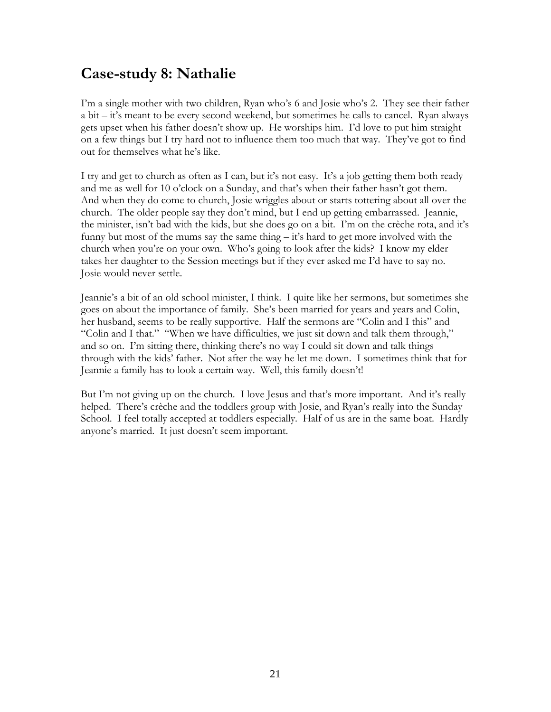### **Case-study 8: Nathalie**

I'm a single mother with two children, Ryan who's 6 and Josie who's 2. They see their father a bit – it's meant to be every second weekend, but sometimes he calls to cancel. Ryan always gets upset when his father doesn't show up. He worships him. I'd love to put him straight on a few things but I try hard not to influence them too much that way. They've got to find out for themselves what he's like.

I try and get to church as often as I can, but it's not easy. It's a job getting them both ready and me as well for 10 o'clock on a Sunday, and that's when their father hasn't got them. And when they do come to church, Josie wriggles about or starts tottering about all over the church. The older people say they don't mind, but I end up getting embarrassed. Jeannie, the minister, isn't bad with the kids, but she does go on a bit. I'm on the crèche rota, and it's funny but most of the mums say the same thing – it's hard to get more involved with the church when you're on your own. Who's going to look after the kids? I know my elder takes her daughter to the Session meetings but if they ever asked me I'd have to say no. Josie would never settle.

Jeannie's a bit of an old school minister, I think. I quite like her sermons, but sometimes she goes on about the importance of family. She's been married for years and years and Colin, her husband, seems to be really supportive. Half the sermons are "Colin and I this" and "Colin and I that." "When we have difficulties, we just sit down and talk them through," and so on. I'm sitting there, thinking there's no way I could sit down and talk things through with the kids' father. Not after the way he let me down. I sometimes think that for Jeannie a family has to look a certain way. Well, this family doesn't!

But I'm not giving up on the church. I love Jesus and that's more important. And it's really helped. There's crèche and the toddlers group with Josie, and Ryan's really into the Sunday School. I feel totally accepted at toddlers especially. Half of us are in the same boat. Hardly anyone's married. It just doesn't seem important.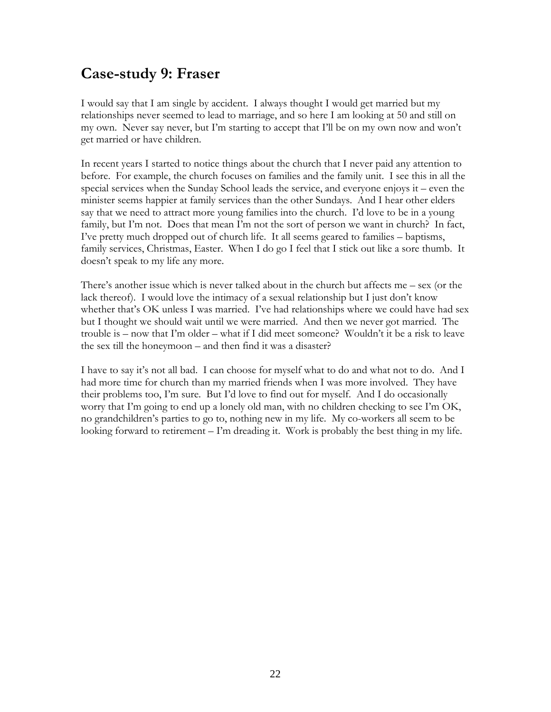### **Case-study 9: Fraser**

I would say that I am single by accident. I always thought I would get married but my relationships never seemed to lead to marriage, and so here I am looking at 50 and still on my own. Never say never, but I'm starting to accept that I'll be on my own now and won't get married or have children.

In recent years I started to notice things about the church that I never paid any attention to before. For example, the church focuses on families and the family unit. I see this in all the special services when the Sunday School leads the service, and everyone enjoys it – even the minister seems happier at family services than the other Sundays. And I hear other elders say that we need to attract more young families into the church. I'd love to be in a young family, but I'm not. Does that mean I'm not the sort of person we want in church? In fact, I've pretty much dropped out of church life. It all seems geared to families – baptisms, family services, Christmas, Easter. When I do go I feel that I stick out like a sore thumb. It doesn't speak to my life any more.

There's another issue which is never talked about in the church but affects me – sex (or the lack thereof). I would love the intimacy of a sexual relationship but I just don't know whether that's OK unless I was married. I've had relationships where we could have had sex but I thought we should wait until we were married. And then we never got married. The trouble is – now that I'm older – what if I did meet someone? Wouldn't it be a risk to leave the sex till the honeymoon – and then find it was a disaster?

I have to say it's not all bad. I can choose for myself what to do and what not to do. And I had more time for church than my married friends when I was more involved. They have their problems too, I'm sure. But I'd love to find out for myself. And I do occasionally worry that I'm going to end up a lonely old man, with no children checking to see I'm OK, no grandchildren's parties to go to, nothing new in my life. My co-workers all seem to be looking forward to retirement – I'm dreading it. Work is probably the best thing in my life.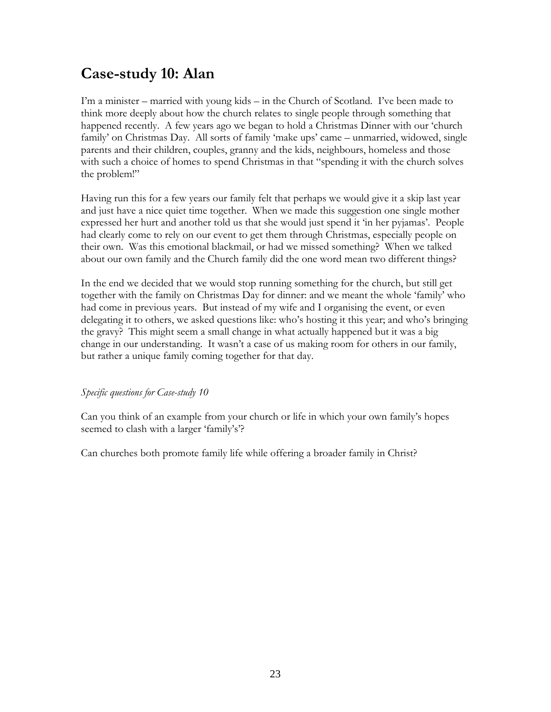### **Case-study 10: Alan**

I'm a minister – married with young kids – in the Church of Scotland. I've been made to think more deeply about how the church relates to single people through something that happened recently. A few years ago we began to hold a Christmas Dinner with our 'church family' on Christmas Day. All sorts of family 'make ups' came – unmarried, widowed, single parents and their children, couples, granny and the kids, neighbours, homeless and those with such a choice of homes to spend Christmas in that "spending it with the church solves the problem!"

Having run this for a few years our family felt that perhaps we would give it a skip last year and just have a nice quiet time together. When we made this suggestion one single mother expressed her hurt and another told us that she would just spend it 'in her pyjamas'. People had clearly come to rely on our event to get them through Christmas, especially people on their own. Was this emotional blackmail, or had we missed something? When we talked about our own family and the Church family did the one word mean two different things?

In the end we decided that we would stop running something for the church, but still get together with the family on Christmas Day for dinner: and we meant the whole 'family' who had come in previous years. But instead of my wife and I organising the event, or even delegating it to others, we asked questions like: who's hosting it this year; and who's bringing the gravy? This might seem a small change in what actually happened but it was a big change in our understanding. It wasn't a case of us making room for others in our family, but rather a unique family coming together for that day.

### *Specific questions for Case-study 10*

Can you think of an example from your church or life in which your own family's hopes seemed to clash with a larger 'family's'?

Can churches both promote family life while offering a broader family in Christ?